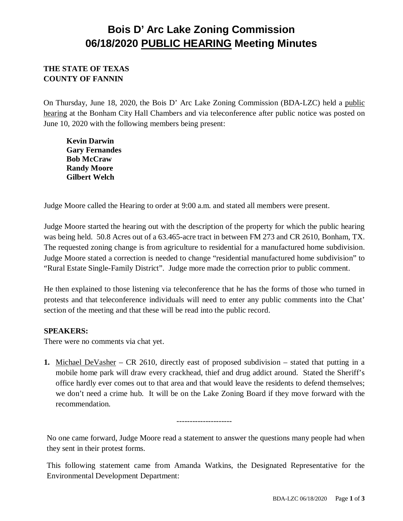## **Bois D' Arc Lake Zoning Commission 06/18/2020 PUBLIC HEARING Meeting Minutes**

## **THE STATE OF TEXAS COUNTY OF FANNIN**

On Thursday, June 18, 2020, the Bois D' Arc Lake Zoning Commission (BDA-LZC) held a public hearing at the Bonham City Hall Chambers and via teleconference after public notice was posted on June 10, 2020 with the following members being present:

**Kevin Darwin Gary Fernandes Bob McCraw Randy Moore Gilbert Welch**

Judge Moore called the Hearing to order at 9:00 a.m. and stated all members were present.

Judge Moore started the hearing out with the description of the property for which the public hearing was being held. 50.8 Acres out of a 63.465-acre tract in between FM 273 and CR 2610, Bonham, TX. The requested zoning change is from agriculture to residential for a manufactured home subdivision. Judge Moore stated a correction is needed to change "residential manufactured home subdivision" to "Rural Estate Single-Family District". Judge more made the correction prior to public comment.

He then explained to those listening via teleconference that he has the forms of those who turned in protests and that teleconference individuals will need to enter any public comments into the Chat' section of the meeting and that these will be read into the public record.

## **SPEAKERS:**

There were no comments via chat yet.

**1.** Michael DeVasher – CR 2610, directly east of proposed subdivision – stated that putting in a mobile home park will draw every crackhead, thief and drug addict around. Stated the Sheriff's office hardly ever comes out to that area and that would leave the residents to defend themselves; we don't need a crime hub. It will be on the Lake Zoning Board if they move forward with the recommendation.

---------------------

No one came forward, Judge Moore read a statement to answer the questions many people had when they sent in their protest forms.

This following statement came from Amanda Watkins, the Designated Representative for the Environmental Development Department: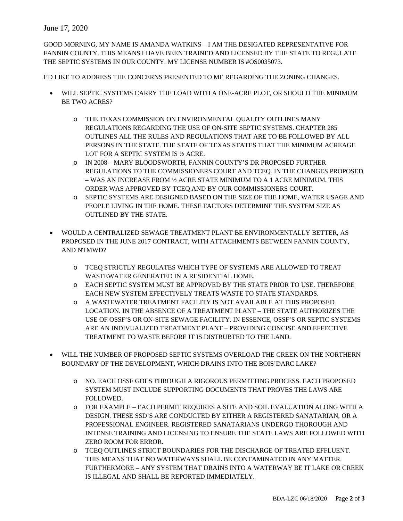## June 17, 2020

GOOD MORNING, MY NAME IS AMANDA WATKINS – I AM THE DESIGATED REPRESENTATIVE FOR FANNIN COUNTY. THIS MEANS I HAVE BEEN TRAINED AND LICENSED BY THE STATE TO REGULATE THE SEPTIC SYSTEMS IN OUR COUNTY. MY LICENSE NUMBER IS #OS0035073.

I'D LIKE TO ADDRESS THE CONCERNS PRESENTED TO ME REGARDING THE ZONING CHANGES.

- WILL SEPTIC SYSTEMS CARRY THE LOAD WITH A ONE-ACRE PLOT, OR SHOULD THE MINIMUM BE TWO ACRES?
	- o THE TEXAS COMMISSION ON ENVIRONMENTAL QUALITY OUTLINES MANY REGULATIONS REGARDING THE USE OF ON-SITE SEPTIC SYSTEMS. CHAPTER 285 OUTLINES ALL THE RULES AND REGULATIONS THAT ARE TO BE FOLLOWED BY ALL PERSONS IN THE STATE. THE STATE OF TEXAS STATES THAT THE MINIMUM ACREAGE LOT FOR A SEPTIC SYSTEM IS ½ ACRE.
	- o IN 2008 MARY BLOODSWORTH, FANNIN COUNTY'S DR PROPOSED FURTHER REGULATIONS TO THE COMMISSIONERS COURT AND TCEQ. IN THE CHANGES PROPOSED – WAS AN INCREASE FROM ½ ACRE STATE MINIMUM TO A 1 ACRE MINIMUM. THIS ORDER WAS APPROVED BY TCEQ AND BY OUR COMMISSIONERS COURT.
	- o SEPTIC SYSTEMS ARE DESIGNED BASED ON THE SIZE OF THE HOME, WATER USAGE AND PEOPLE LIVING IN THE HOME. THESE FACTORS DETERMINE THE SYSTEM SIZE AS OUTLINED BY THE STATE.
- WOULD A CENTRALIZED SEWAGE TREATMENT PLANT BE ENVIRONMENTALLY BETTER, AS PROPOSED IN THE JUNE 2017 CONTRACT, WITH ATTACHMENTS BETWEEN FANNIN COUNTY, AND NTMWD?
	- o TCEQ STRICTLY REGULATES WHICH TYPE OF SYSTEMS ARE ALLOWED TO TREAT WASTEWATER GENERATED IN A RESIDENTIAL HOME.
	- o EACH SEPTIC SYSTEM MUST BE APPROVED BY THE STATE PRIOR TO USE. THEREFORE EACH NEW SYSTEM EFFECTIVELY TREATS WASTE TO STATE STANDARDS.
	- o A WASTEWATER TREATMENT FACILITY IS NOT AVAILABLE AT THIS PROPOSED LOCATION. IN THE ABSENCE OF A TREATMENT PLANT – THE STATE AUTHORIZES THE USE OF OSSF'S OR ON-SITE SEWAGE FACILITY. IN ESSENCE, OSSF'S OR SEPTIC SYSTEMS ARE AN INDIVUALIZED TREATMENT PLANT – PROVIDING CONCISE AND EFFECTIVE TREATMENT TO WASTE BEFORE IT IS DISTRUBTED TO THE LAND.
- WILL THE NUMBER OF PROPOSED SEPTIC SYSTEMS OVERLOAD THE CREEK ON THE NORTHERN BOUNDARY OF THE DEVELOPMENT, WHICH DRAINS INTO THE BOIS'DARC LAKE?
	- o NO. EACH OSSF GOES THROUGH A RIGOROUS PERMITTING PROCESS. EACH PROPOSED SYSTEM MUST INCLUDE SUPPORTING DOCUMENTS THAT PROVES THE LAWS ARE FOLLOWED.
	- o FOR EXAMPLE EACH PERMIT REQUIRES A SITE AND SOIL EVALUATION ALONG WITH A DESIGN. THESE SSD'S ARE CONDUCTED BY EITHER A REGISTERED SANATARIAN, OR A PROFESSIONAL ENGINEER. REGISTERED SANATARIANS UNDERGO THOROUGH AND INTENSE TRAINING AND LICENSING TO ENSURE THE STATE LAWS ARE FOLLOWED WITH ZERO ROOM FOR ERROR.
	- o TCEQ OUTLINES STRICT BOUNDARIES FOR THE DISCHARGE OF TREATED EFFLUENT. THIS MEANS THAT NO WATERWAYS SHALL BE CONTAMINATED IN ANY MATTER. FURTHERMORE – ANY SYSTEM THAT DRAINS INTO A WATERWAY BE IT LAKE OR CREEK IS ILLEGAL AND SHALL BE REPORTED IMMEDIATELY.